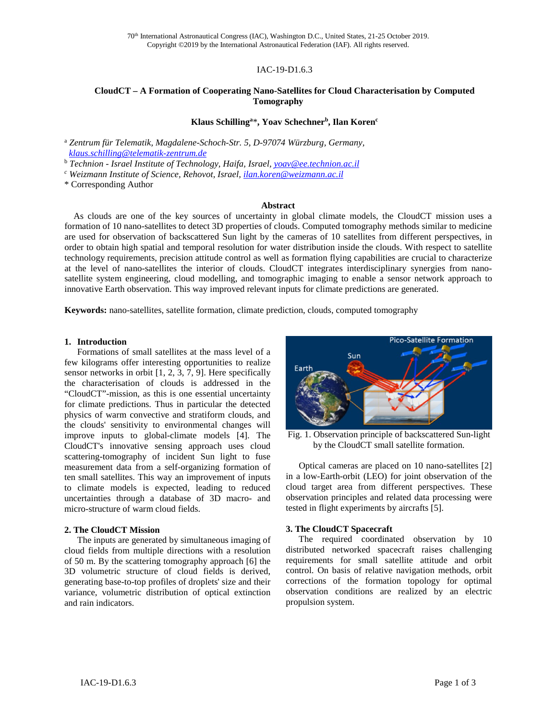## IAC-19-D1.6.3

# **CloudCT – A Formation of Cooperating Nano-Satellites for Cloud Characterisation by Computed Tomography**

# **Klaus Schillinga** \***, Yoav Schechnerb, Ilan Korenc**

<sup>a</sup> *Zentrum für Telematik, Magdalene-Schoch-Str. 5, D-97074 Würzburg, Germany, [klaus.schilling@telematik-zentrum.de](mailto:klaus.schilling@telematik-zentrum.de)* 

<sup>b</sup> *Technion - Israel Institute of Technology, Haifa, Israel, [yoav@ee.technion.ac.il](mailto:yoav@ee.technion.ac.il)*

*<sup>c</sup> Weizmann Institute of Science, Rehovot, Israel[, ilan.koren@weizmann.ac.il](mailto:ilan.koren@weizmann.ac.il)*

\* Corresponding Author

#### **Abstract**

 As clouds are one of the key sources of uncertainty in global climate models, the CloudCT mission uses a formation of 10 nano-satellites to detect 3D properties of clouds. Computed tomography methods similar to medicine are used for observation of backscattered Sun light by the cameras of 10 satellites from different perspectives, in order to obtain high spatial and temporal resolution for water distribution inside the clouds. With respect to satellite technology requirements, precision attitude control as well as formation flying capabilities are crucial to characterize at the level of nano-satellites the interior of clouds. CloudCT integrates interdisciplinary synergies from nanosatellite system engineering, cloud modelling, and tomographic imaging to enable a sensor network approach to innovative Earth observation. This way improved relevant inputs for climate predictions are generated.

**Keywords:** nano-satellites, satellite formation, climate prediction, clouds, computed tomography

### **1. Introduction**

Formations of small satellites at the mass level of a few kilograms offer interesting opportunities to realize sensor networks in orbit [1, 2, 3, 7, 9]. Here specifically the characterisation of clouds is addressed in the "CloudCT"-mission, as this is one essential uncertainty for climate predictions. Thus in particular the detected physics of warm convective and stratiform clouds, and the clouds' sensitivity to environmental changes will improve inputs to global-climate models [4]. The CloudCT's innovative sensing approach uses cloud scattering-tomography of incident Sun light to fuse measurement data from a self-organizing formation of ten small satellites. This way an improvement of inputs to climate models is expected, leading to reduced uncertainties through a database of 3D macro- and micro-structure of warm cloud fields.

#### **2. The CloudCT Mission**

The inputs are generated by simultaneous imaging of cloud fields from multiple directions with a resolution of 50 m. By the scattering tomography approach [6] the 3D volumetric structure of cloud fields is derived, generating base-to-top profiles of droplets' size and their variance, volumetric distribution of optical extinction and rain indicators.



Fig. 1. Observation principle of backscattered Sun-light by the CloudCT small satellite formation.

Optical cameras are placed on 10 nano-satellites [2] in a low-Earth-orbit (LEO) for joint observation of the cloud target area from different perspectives. These observation principles and related data processing were tested in flight experiments by aircrafts [5].

#### **3. The CloudCT Spacecraft**

The required coordinated observation by 10 distributed networked spacecraft raises challenging requirements for small satellite attitude and orbit control. On basis of relative navigation methods, orbit corrections of the formation topology for optimal observation conditions are realized by an electric propulsion system.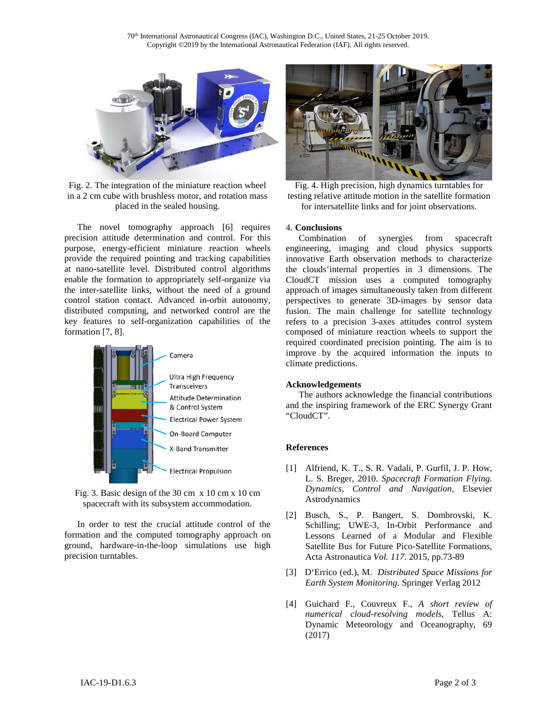

Fig. 2. The integration of the miniature reaction wheel in a 2 cm cube with brushless motor, and rotation mass placed in the sealed housing.

The novel tomography approach [6] requires precision attitude determination and control. For this purpose, energy-efficient miniature reaction wheels provide the required pointing and tracking capabilities at nano-satellite level. Distributed control algorithms enable the formation to appropriately self-organize via the inter-satellite links, without the need of a ground control station contact. Advanced in-orbit autonomy, distributed computing, and networked control are the key features to self-organization capabilities of the formation [7, 8].



Fig. 3. Basic design of the 30 cm x 10 cm x 10 cm spacecraft with its subsystem accommodation.

In order to test the crucial attitude control of the formation and the computed tomography approach on ground, hardware-in-the-loop simulations use high precision turntables.



Fig. 4. High precision, high dynamics turntables for testing relative attitude motion in the satellite formation for intersatellite links and for joint observations.

# **4. Conclusions**

Combination of synergies from spacecraft engineering, imaging and cloud physics supports innovative Earth observation methods to characterize the clouds'internal properties in 3 dimensions. The CloudCT mission uses a computed tomography approach of images simultaneously taken from different perspectives to generate 3D-images by sensor data fusion. The main challenge for satellite technology refers to a precision 3-axes attitudes control system composed of miniature reaction wheels to support the required coordinated precision pointing. The aim is to improve by the acquired information the inputs to climate predictions.

## **Acknowledgements**

The authors acknowledge the financial contributions and the inspiring framework of the ERC Synergy Grant "CloudCT".

## **References**

- [1] Alfriend, K. T., S. R. Vadali, P. Gurfil, J. P. How, L. S. Breger, 2010. *Spacecraft Formation Flying. Dynamics, Control and Navigation,* Elsevier Astrodynamics
- [2] Busch, S., P. Bangert, S. Dombrovski, K. Schilling; UWE-3, In-Orbit Performance and Lessons Learned of a Modular and Flexible Satellite Bus for Future Pico-Satellite Formations, Acta Astronautica *Vol. 117*. 2015, pp.73-89
- [3] D'Errico (ed.), M. *Distributed Space Missions for Earth System Monitoring*. Springer Verlag 2012
- [4] Guichard F., Couvreux F., *A short review of numerical cloud-resolving models*, Tellus A: Dynamic Meteorology and Oceanography, 69 (2017)